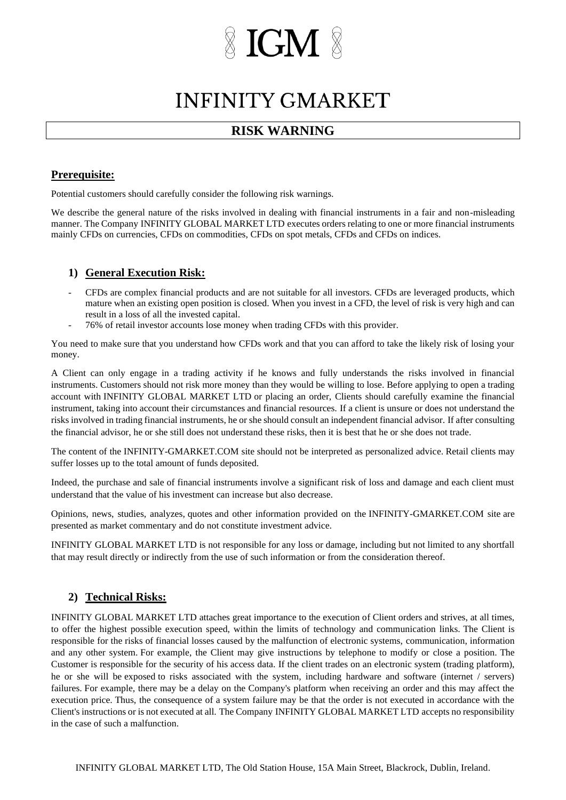# **IGM**

## **INFINITY GMARKET**

## **RISK WARNING**

### **Prerequisite:**

Potential customers should carefully consider the following risk warnings.

We describe the general nature of the risks involved in dealing with financial instruments in a fair and non-misleading manner. The Company INFINITY GLOBAL MARKET LTD executes orders relating to one or more financial instruments mainly CFDs on currencies, CFDs on commodities, CFDs on spot metals, CFDs and CFDs on indices.

#### **1) General Execution Risk:**

- CFDs are complex financial products and are not suitable for all investors. CFDs are leveraged products, which mature when an existing open position is closed. When you invest in a CFD, the level of risk is very high and can result in a loss of all the invested capital.
- 76% of retail investor accounts lose money when trading CFDs with this provider.

You need to make sure that you understand how CFDs work and that you can afford to take the likely risk of losing your money.

A Client can only engage in a trading activity if he knows and fully understands the risks involved in financial instruments. Customers should not risk more money than they would be willing to lose. Before applying to open a trading account with INFINITY GLOBAL MARKET LTD or placing an order, Clients should carefully examine the financial instrument, taking into account their circumstances and financial resources. If a client is unsure or does not understand the risks involved in trading financial instruments, he or she should consult an independent financial advisor. If after consulting the financial advisor, he or she still does not understand these risks, then it is best that he or she does not trade.

The content of the INFINITY-GMARKET.COM site should not be interpreted as personalized advice. Retail clients may suffer losses up to the total amount of funds deposited.

Indeed, the purchase and sale of financial instruments involve a significant risk of loss and damage and each client must understand that the value of his investment can increase but also decrease.

Opinions, news, studies, analyzes, quotes and other information provided on the INFINITY-GMARKET.COM site are presented as market commentary and do not constitute investment advice.

INFINITY GLOBAL MARKET LTD is not responsible for any loss or damage, including but not limited to any shortfall that may result directly or indirectly from the use of such information or from the consideration thereof.

#### **2) Technical Risks:**

INFINITY GLOBAL MARKET LTD attaches great importance to the execution of Client orders and strives, at all times, to offer the highest possible execution speed, within the limits of technology and communication links. The Client is responsible for the risks of financial losses caused by the malfunction of electronic systems, communication, information and any other system. For example, the Client may give instructions by telephone to modify or close a position. The Customer is responsible for the security of his access data. If the client trades on an electronic system (trading platform), he or she will be exposed to risks associated with the system, including hardware and software (internet / servers) failures. For example, there may be a delay on the Company's platform when receiving an order and this may affect the execution price. Thus, the consequence of a system failure may be that the order is not executed in accordance with the Client's instructions or is not executed at all. The Company INFINITY GLOBAL MARKET LTD accepts no responsibility in the case of such a malfunction.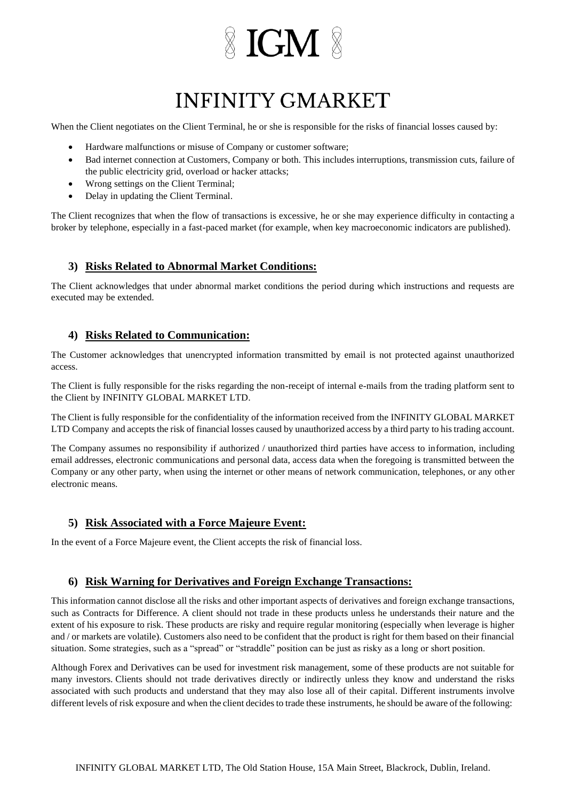# **INFINITY GMARKET**

When the Client negotiates on the Client Terminal, he or she is responsible for the risks of financial losses caused by:

- Hardware malfunctions or misuse of Company or customer software;
- Bad internet connection at Customers, Company or both. This includes interruptions, transmission cuts, failure of the public electricity grid, overload or hacker attacks;
- Wrong settings on the Client Terminal;
- Delay in updating the Client Terminal.

The Client recognizes that when the flow of transactions is excessive, he or she may experience difficulty in contacting a broker by telephone, especially in a fast-paced market (for example, when key macroeconomic indicators are published).

#### **3) Risks Related to Abnormal Market Conditions:**

The Client acknowledges that under abnormal market conditions the period during which instructions and requests are executed may be extended.

#### **4) Risks Related to Communication:**

The Customer acknowledges that unencrypted information transmitted by email is not protected against unauthorized access.

The Client is fully responsible for the risks regarding the non-receipt of internal e-mails from the trading platform sent to the Client by INFINITY GLOBAL MARKET LTD.

The Client is fully responsible for the confidentiality of the information received from the INFINITY GLOBAL MARKET LTD Company and accepts the risk of financial losses caused by unauthorized access by a third party to his trading account.

The Company assumes no responsibility if authorized / unauthorized third parties have access to information, including email addresses, electronic communications and personal data, access data when the foregoing is transmitted between the Company or any other party, when using the internet or other means of network communication, telephones, or any other electronic means.

#### **5) Risk Associated with a Force Majeure Event:**

In the event of a Force Majeure event, the Client accepts the risk of financial loss.

#### **6) Risk Warning for Derivatives and Foreign Exchange Transactions:**

This information cannot disclose all the risks and other important aspects of derivatives and foreign exchange transactions, such as Contracts for Difference. A client should not trade in these products unless he understands their nature and the extent of his exposure to risk. These products are risky and require regular monitoring (especially when leverage is higher and / or markets are volatile). Customers also need to be confident that the product is right for them based on their financial situation. Some strategies, such as a "spread" or "straddle" position can be just as risky as a long or short position.

Although Forex and Derivatives can be used for investment risk management, some of these products are not suitable for many investors. Clients should not trade derivatives directly or indirectly unless they know and understand the risks associated with such products and understand that they may also lose all of their capital. Different instruments involve different levels of risk exposure and when the client decides to trade these instruments, he should be aware of the following: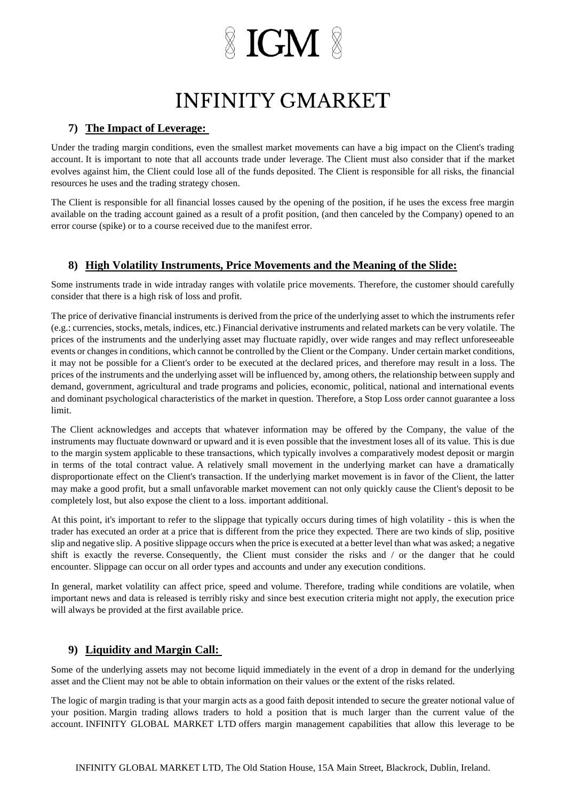## **INFINITY GMARKET**

### **7) The Impact of Leverage:**

Under the trading margin conditions, even the smallest market movements can have a big impact on the Client's trading account. It is important to note that all accounts trade under leverage. The Client must also consider that if the market evolves against him, the Client could lose all of the funds deposited. The Client is responsible for all risks, the financial resources he uses and the trading strategy chosen.

The Client is responsible for all financial losses caused by the opening of the position, if he uses the excess free margin available on the trading account gained as a result of a profit position, (and then canceled by the Company) opened to an error course (spike) or to a course received due to the manifest error.

### **8) High Volatility Instruments, Price Movements and the Meaning of the Slide:**

Some instruments trade in wide intraday ranges with volatile price movements. Therefore, the customer should carefully consider that there is a high risk of loss and profit.

The price of derivative financial instruments is derived from the price of the underlying asset to which the instruments refer (e.g.: currencies, stocks, metals, indices, etc.) Financial derivative instruments and related markets can be very volatile. The prices of the instruments and the underlying asset may fluctuate rapidly, over wide ranges and may reflect unforeseeable events or changes in conditions, which cannot be controlled by the Client or the Company. Under certain market conditions, it may not be possible for a Client's order to be executed at the declared prices, and therefore may result in a loss. The prices of the instruments and the underlying asset will be influenced by, among others, the relationship between supply and demand, government, agricultural and trade programs and policies, economic, political, national and international events and dominant psychological characteristics of the market in question. Therefore, a Stop Loss order cannot guarantee a loss limit.

The Client acknowledges and accepts that whatever information may be offered by the Company, the value of the instruments may fluctuate downward or upward and it is even possible that the investment loses all of its value. This is due to the margin system applicable to these transactions, which typically involves a comparatively modest deposit or margin in terms of the total contract value. A relatively small movement in the underlying market can have a dramatically disproportionate effect on the Client's transaction. If the underlying market movement is in favor of the Client, the latter may make a good profit, but a small unfavorable market movement can not only quickly cause the Client's deposit to be completely lost, but also expose the client to a loss. important additional.

At this point, it's important to refer to the slippage that typically occurs during times of high volatility - this is when the trader has executed an order at a price that is different from the price they expected. There are two kinds of slip, positive slip and negative slip. A positive slippage occurs when the price is executed at a better level than what was asked; a negative shift is exactly the reverse. Consequently, the Client must consider the risks and / or the danger that he could encounter. Slippage can occur on all order types and accounts and under any execution conditions.

In general, market volatility can affect price, speed and volume. Therefore, trading while conditions are volatile, when important news and data is released is terribly risky and since best execution criteria might not apply, the execution price will always be provided at the first available price.

### **9) Liquidity and Margin Call:**

Some of the underlying assets may not become liquid immediately in the event of a drop in demand for the underlying asset and the Client may not be able to obtain information on their values or the extent of the risks related.

The logic of margin trading is that your margin acts as a good faith deposit intended to secure the greater notional value of your position. Margin trading allows traders to hold a position that is much larger than the current value of the account. INFINITY GLOBAL MARKET LTD offers margin management capabilities that allow this leverage to be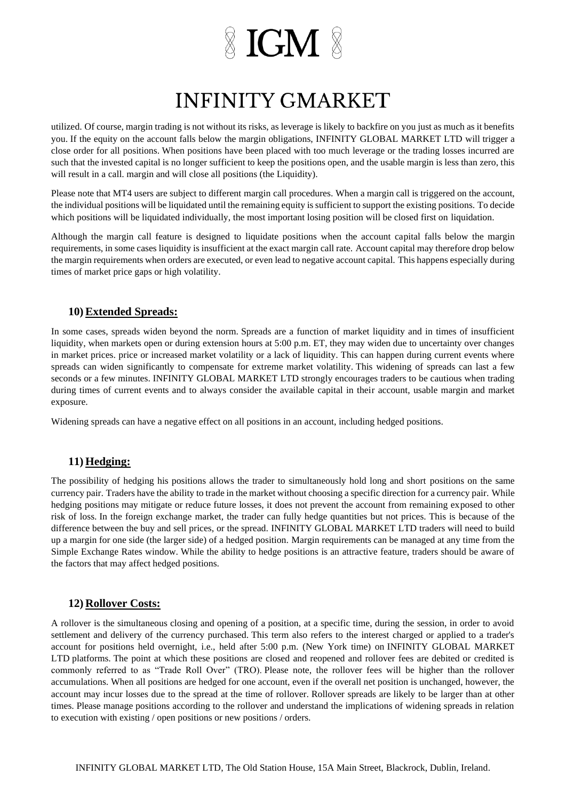## **INFINITY GMARKET**

utilized. Of course, margin trading is not without its risks, as leverage is likely to backfire on you just as much as it benefits you. If the equity on the account falls below the margin obligations, INFINITY GLOBAL MARKET LTD will trigger a close order for all positions. When positions have been placed with too much leverage or the trading losses incurred are such that the invested capital is no longer sufficient to keep the positions open, and the usable margin is less than zero, this will result in a call. margin and will close all positions (the Liquidity).

Please note that MT4 users are subject to different margin call procedures. When a margin call is triggered on the account, the individual positions will be liquidated until the remaining equity is sufficient to support the existing positions. To decide which positions will be liquidated individually, the most important losing position will be closed first on liquidation.

Although the margin call feature is designed to liquidate positions when the account capital falls below the margin requirements, in some cases liquidity is insufficient at the exact margin call rate. Account capital may therefore drop below the margin requirements when orders are executed, or even lead to negative account capital. This happens especially during times of market price gaps or high volatility.

#### **10) Extended Spreads:**

In some cases, spreads widen beyond the norm. Spreads are a function of market liquidity and in times of insufficient liquidity, when markets open or during extension hours at 5:00 p.m. ET, they may widen due to uncertainty over changes in market prices. price or increased market volatility or a lack of liquidity. This can happen during current events where spreads can widen significantly to compensate for extreme market volatility. This widening of spreads can last a few seconds or a few minutes. INFINITY GLOBAL MARKET LTD strongly encourages traders to be cautious when trading during times of current events and to always consider the available capital in their account, usable margin and market exposure.

Widening spreads can have a negative effect on all positions in an account, including hedged positions.

#### **11) Hedging:**

The possibility of hedging his positions allows the trader to simultaneously hold long and short positions on the same currency pair. Traders have the ability to trade in the market without choosing a specific direction for a currency pair. While hedging positions may mitigate or reduce future losses, it does not prevent the account from remaining exposed to other risk of loss. In the foreign exchange market, the trader can fully hedge quantities but not prices. This is because of the difference between the buy and sell prices, or the spread. INFINITY GLOBAL MARKET LTD traders will need to build up a margin for one side (the larger side) of a hedged position. Margin requirements can be managed at any time from the Simple Exchange Rates window. While the ability to hedge positions is an attractive feature, traders should be aware of the factors that may affect hedged positions.

#### **12) Rollover Costs:**

A rollover is the simultaneous closing and opening of a position, at a specific time, during the session, in order to avoid settlement and delivery of the currency purchased. This term also refers to the interest charged or applied to a trader's account for positions held overnight, i.e., held after 5:00 p.m. (New York time) on INFINITY GLOBAL MARKET LTD platforms. The point at which these positions are closed and reopened and rollover fees are debited or credited is commonly referred to as "Trade Roll Over" (TRO). Please note, the rollover fees will be higher than the rollover accumulations. When all positions are hedged for one account, even if the overall net position is unchanged, however, the account may incur losses due to the spread at the time of rollover. Rollover spreads are likely to be larger than at other times. Please manage positions according to the rollover and understand the implications of widening spreads in relation to execution with existing / open positions or new positions / orders.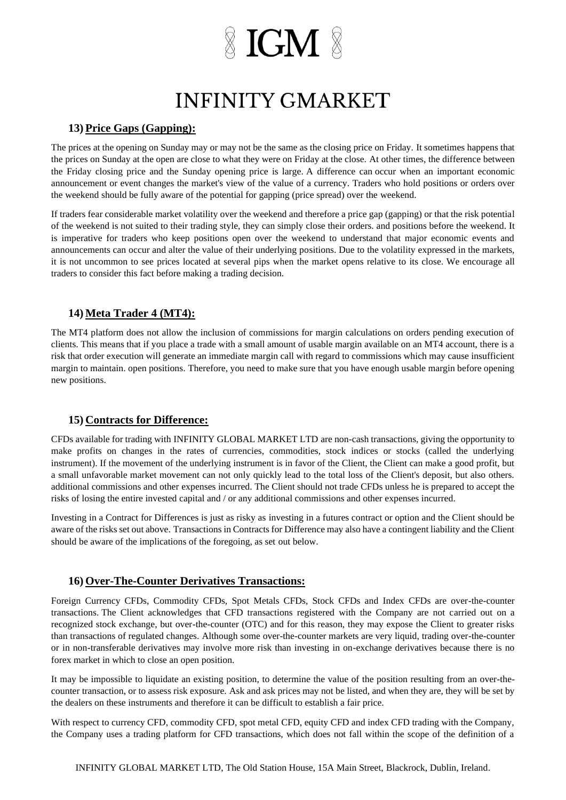## **INFINITY GMARKET**

### **13) Price Gaps (Gapping):**

The prices at the opening on Sunday may or may not be the same as the closing price on Friday. It sometimes happens that the prices on Sunday at the open are close to what they were on Friday at the close. At other times, the difference between the Friday closing price and the Sunday opening price is large. A difference can occur when an important economic announcement or event changes the market's view of the value of a currency. Traders who hold positions or orders over the weekend should be fully aware of the potential for gapping (price spread) over the weekend.

If traders fear considerable market volatility over the weekend and therefore a price gap (gapping) or that the risk potential of the weekend is not suited to their trading style, they can simply close their orders. and positions before the weekend. It is imperative for traders who keep positions open over the weekend to understand that major economic events and announcements can occur and alter the value of their underlying positions. Due to the volatility expressed in the markets, it is not uncommon to see prices located at several pips when the market opens relative to its close. We encourage all traders to consider this fact before making a trading decision.

#### **14) Meta Trader 4 (MT4):**

The MT4 platform does not allow the inclusion of commissions for margin calculations on orders pending execution of clients. This means that if you place a trade with a small amount of usable margin available on an MT4 account, there is a risk that order execution will generate an immediate margin call with regard to commissions which may cause insufficient margin to maintain. open positions. Therefore, you need to make sure that you have enough usable margin before opening new positions.

### **15) Contracts for Difference:**

CFDs available for trading with INFINITY GLOBAL MARKET LTD are non-cash transactions, giving the opportunity to make profits on changes in the rates of currencies, commodities, stock indices or stocks (called the underlying instrument). If the movement of the underlying instrument is in favor of the Client, the Client can make a good profit, but a small unfavorable market movement can not only quickly lead to the total loss of the Client's deposit, but also others. additional commissions and other expenses incurred. The Client should not trade CFDs unless he is prepared to accept the risks of losing the entire invested capital and / or any additional commissions and other expenses incurred.

Investing in a Contract for Differences is just as risky as investing in a futures contract or option and the Client should be aware of the risks set out above. Transactions in Contracts for Difference may also have a contingent liability and the Client should be aware of the implications of the foregoing, as set out below.

### **16) Over-The-Counter Derivatives Transactions:**

Foreign Currency CFDs, Commodity CFDs, Spot Metals CFDs, Stock CFDs and Index CFDs are over-the-counter transactions. The Client acknowledges that CFD transactions registered with the Company are not carried out on a recognized stock exchange, but over-the-counter (OTC) and for this reason, they may expose the Client to greater risks than transactions of regulated changes. Although some over-the-counter markets are very liquid, trading over-the-counter or in non-transferable derivatives may involve more risk than investing in on-exchange derivatives because there is no forex market in which to close an open position.

It may be impossible to liquidate an existing position, to determine the value of the position resulting from an over-thecounter transaction, or to assess risk exposure. Ask and ask prices may not be listed, and when they are, they will be set by the dealers on these instruments and therefore it can be difficult to establish a fair price.

With respect to currency CFD, commodity CFD, spot metal CFD, equity CFD and index CFD trading with the Company, the Company uses a trading platform for CFD transactions, which does not fall within the scope of the definition of a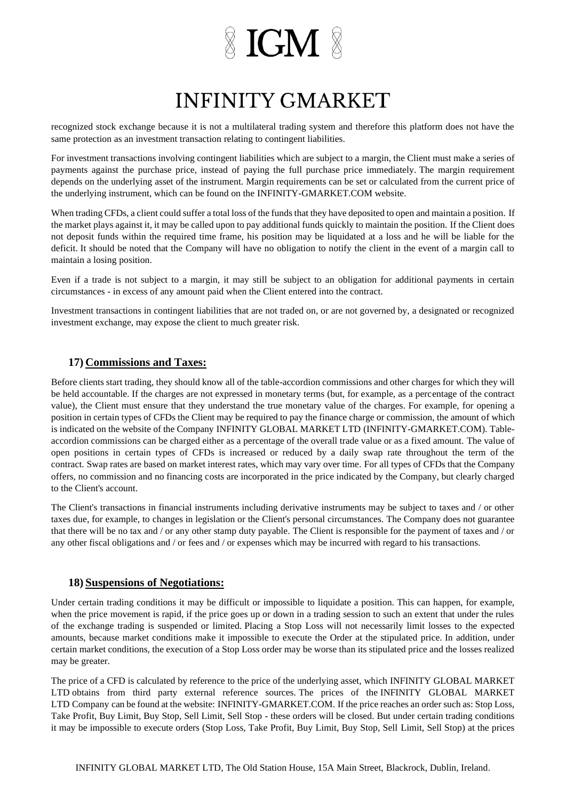# **INFINITY GMARKET**

recognized stock exchange because it is not a multilateral trading system and therefore this platform does not have the same protection as an investment transaction relating to contingent liabilities.

For investment transactions involving contingent liabilities which are subject to a margin, the Client must make a series of payments against the purchase price, instead of paying the full purchase price immediately. The margin requirement depends on the underlying asset of the instrument. Margin requirements can be set or calculated from the current price of the underlying instrument, which can be found on the INFINITY-GMARKET.COM website.

When trading CFDs, a client could suffer a total loss of the funds that they have deposited to open and maintain a position. If the market plays against it, it may be called upon to pay additional funds quickly to maintain the position. If the Client does not deposit funds within the required time frame, his position may be liquidated at a loss and he will be liable for the deficit. It should be noted that the Company will have no obligation to notify the client in the event of a margin call to maintain a losing position.

Even if a trade is not subject to a margin, it may still be subject to an obligation for additional payments in certain circumstances - in excess of any amount paid when the Client entered into the contract.

Investment transactions in contingent liabilities that are not traded on, or are not governed by, a designated or recognized investment exchange, may expose the client to much greater risk.

#### **17) Commissions and Taxes:**

Before clients start trading, they should know all of the table-accordion commissions and other charges for which they will be held accountable. If the charges are not expressed in monetary terms (but, for example, as a percentage of the contract value), the Client must ensure that they understand the true monetary value of the charges. For example, for opening a position in certain types of CFDs the Client may be required to pay the finance charge or commission, the amount of which is indicated on the website of the Company INFINITY GLOBAL MARKET LTD (INFINITY-GMARKET.COM). Tableaccordion commissions can be charged either as a percentage of the overall trade value or as a fixed amount. The value of open positions in certain types of CFDs is increased or reduced by a daily swap rate throughout the term of the contract. Swap rates are based on market interest rates, which may vary over time. For all types of CFDs that the Company offers, no commission and no financing costs are incorporated in the price indicated by the Company, but clearly charged to the Client's account.

The Client's transactions in financial instruments including derivative instruments may be subject to taxes and / or other taxes due, for example, to changes in legislation or the Client's personal circumstances. The Company does not guarantee that there will be no tax and / or any other stamp duty payable. The Client is responsible for the payment of taxes and / or any other fiscal obligations and / or fees and / or expenses which may be incurred with regard to his transactions.

#### **18) Suspensions of Negotiations:**

Under certain trading conditions it may be difficult or impossible to liquidate a position. This can happen, for example, when the price movement is rapid, if the price goes up or down in a trading session to such an extent that under the rules of the exchange trading is suspended or limited. Placing a Stop Loss will not necessarily limit losses to the expected amounts, because market conditions make it impossible to execute the Order at the stipulated price. In addition, under certain market conditions, the execution of a Stop Loss order may be worse than its stipulated price and the losses realized may be greater.

The price of a CFD is calculated by reference to the price of the underlying asset, which INFINITY GLOBAL MARKET LTD obtains from third party external reference sources. The prices of the INFINITY GLOBAL MARKET LTD Company can be found at the website: INFINITY-GMARKET.COM. If the price reaches an order such as: Stop Loss, Take Profit, Buy Limit, Buy Stop, Sell Limit, Sell Stop - these orders will be closed. But under certain trading conditions it may be impossible to execute orders (Stop Loss, Take Profit, Buy Limit, Buy Stop, Sell Limit, Sell Stop) at the prices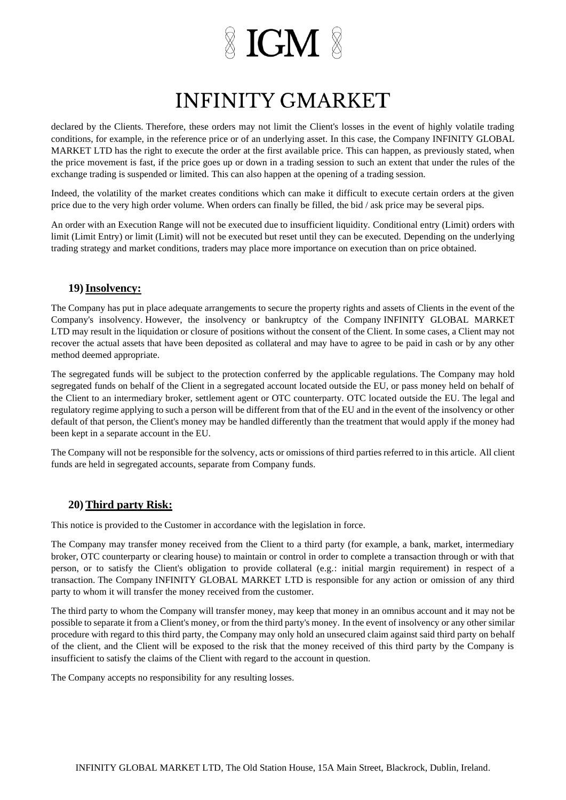## **INFINITY GMARKET**

declared by the Clients. Therefore, these orders may not limit the Client's losses in the event of highly volatile trading conditions, for example, in the reference price or of an underlying asset. In this case, the Company INFINITY GLOBAL MARKET LTD has the right to execute the order at the first available price. This can happen, as previously stated, when the price movement is fast, if the price goes up or down in a trading session to such an extent that under the rules of the exchange trading is suspended or limited. This can also happen at the opening of a trading session.

Indeed, the volatility of the market creates conditions which can make it difficult to execute certain orders at the given price due to the very high order volume. When orders can finally be filled, the bid / ask price may be several pips.

An order with an Execution Range will not be executed due to insufficient liquidity. Conditional entry (Limit) orders with limit (Limit Entry) or limit (Limit) will not be executed but reset until they can be executed. Depending on the underlying trading strategy and market conditions, traders may place more importance on execution than on price obtained.

#### **19)Insolvency:**

The Company has put in place adequate arrangements to secure the property rights and assets of Clients in the event of the Company's insolvency. However, the insolvency or bankruptcy of the Company INFINITY GLOBAL MARKET LTD may result in the liquidation or closure of positions without the consent of the Client. In some cases, a Client may not recover the actual assets that have been deposited as collateral and may have to agree to be paid in cash or by any other method deemed appropriate.

The segregated funds will be subject to the protection conferred by the applicable regulations. The Company may hold segregated funds on behalf of the Client in a segregated account located outside the EU, or pass money held on behalf of the Client to an intermediary broker, settlement agent or OTC counterparty. OTC located outside the EU. The legal and regulatory regime applying to such a person will be different from that of the EU and in the event of the insolvency or other default of that person, the Client's money may be handled differently than the treatment that would apply if the money had been kept in a separate account in the EU.

The Company will not be responsible for the solvency, acts or omissions of third parties referred to in this article. All client funds are held in segregated accounts, separate from Company funds.

### **20) Third party Risk:**

This notice is provided to the Customer in accordance with the legislation in force.

The Company may transfer money received from the Client to a third party (for example, a bank, market, intermediary broker, OTC counterparty or clearing house) to maintain or control in order to complete a transaction through or with that person, or to satisfy the Client's obligation to provide collateral (e.g.: initial margin requirement) in respect of a transaction. The Company INFINITY GLOBAL MARKET LTD is responsible for any action or omission of any third party to whom it will transfer the money received from the customer.

The third party to whom the Company will transfer money, may keep that money in an omnibus account and it may not be possible to separate it from a Client's money, or from the third party's money. In the event of insolvency or any other similar procedure with regard to this third party, the Company may only hold an unsecured claim against said third party on behalf of the client, and the Client will be exposed to the risk that the money received of this third party by the Company is insufficient to satisfy the claims of the Client with regard to the account in question.

The Company accepts no responsibility for any resulting losses.